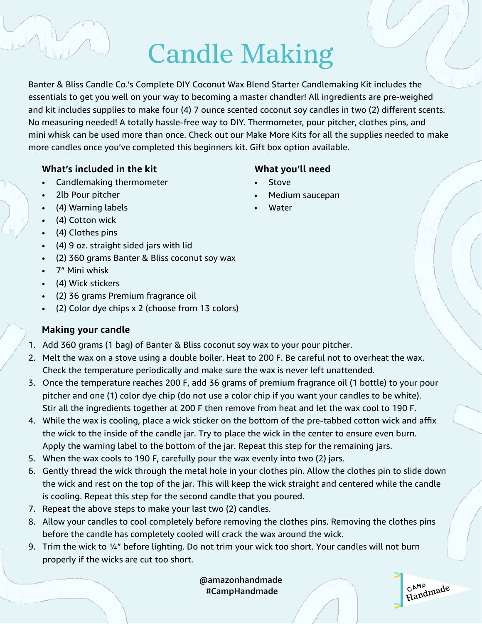# Candle Making

Banter & Bliss Candle Co.'s Complete DIY Coconut Wax Blend Starter Candlemaking Kit includes the essentials to get you well on your way to becoming a master chandler! All ingredients are pre-weighed and kit includes supplies to make four (4) 7 ounce scented coconut soy candles in two (2) different scents. No measuring needed! A totally hassle-free way to DIY. Thermometer, pour pitcher, clothes pins, and mini whisk can be used more than once. Check out our Make More Kits for all the supplies needed to make more candles once you've completed this beginners kit. Gift box option available.

#### **What's included in the kit**

- Candlemaking thermometer
- 2lb Pour pitcher
- (4) Warning labels
- (4) Cotton wick
- (4) Clothes pins
- (4) 9 oz. straight sided jars with lid
- (2) 360 grams Banter & Bliss coconut soy wax
- 7" Mini whisk
- (4) Wick stickers
- (2) 36 grams Premium fragrance oil
- (2) Color dye chips x 2 (choose from 13 colors)

### **Making your candle**

- 1. Add 360 grams (1 bag) of Banter & Bliss coconut soy wax to your pour pitcher.
- 2. Melt the wax on a stove using a double boiler. Heat to 200 F. Be careful not to overheat the wax. Check the temperature periodically and make sure the wax is never left unattended.
- 3. Once the temperature reaches 200 F, add 36 grams of premium fragrance oil (1 bottle) to your pour pitcher and one (1) color dye chip (do not use a color chip if you want your candles to be white). Stir all the ingredients together at 200 F then remove from heat and let the wax cool to 190 F.
- 4. While the wax is cooling, place a wick sticker on the bottom of the pre-tabbed cotton wick and affix the wick to the inside of the candle jar. Try to place the wick in the center to ensure even burn. Apply the warning label to the bottom of the jar. Repeat this step for the remaining jars.
- 5. When the wax cools to 190 F, carefully pour the wax evenly into two (2) jars.
- 6. Gently thread the wick through the metal hole in your clothes pin. Allow the clothes pin to slide down the wick and rest on the top of the jar. This will keep the wick straight and centered while the candle is cooling. Repeat this step for the second candle that you poured.
- 7. Repeat the above steps to make your last two (2) candles.
- 8. Allow your candles to cool completely before removing the clothes pins. Removing the clothes pins before the candle has completely cooled will crack the wax around the wick.
- 9. Trim the wick to ¼" before lighting. Do not trim your wick too short. Your candles will not burn properly if the wicks are cut too short.

@amazonhandmade #CampHandmade

CAMP<sub>1</sub> C<sup>AMP</sup><br>Handmade

### **What you'll need**

- **Stove**
- Medium saucepan
- **Water**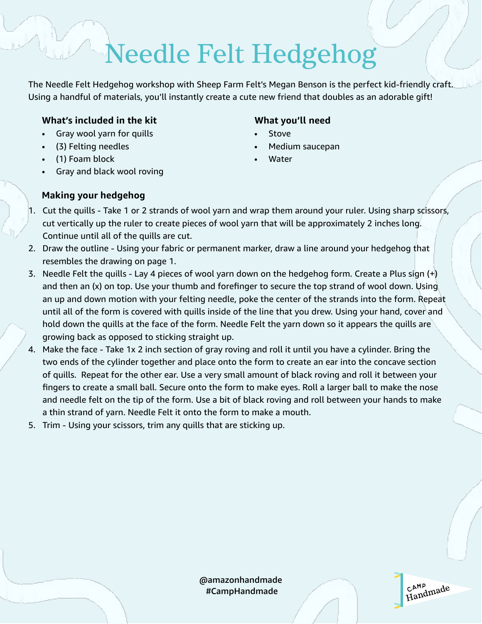# Needle Felt Hedgehog

The Needle Felt Hedgehog workshop with Sheep Farm Felt's Megan Benson is the perfect kid-friendly craft. Using a handful of materials, you'll instantly create a cute new friend that doubles as an adorable gift!

#### **What's included in the kit**

- Gray wool yarn for quills
- (3) Felting needles
- (1) Foam block
- Gray and black wool roving

### **Making your hedgehog**

### **What you'll need**

- Stove
- Medium saucepan
- **Water**
- 1. Cut the quills Take 1 or 2 strands of wool yarn and wrap them around your ruler. Using sharp scissors, cut vertically up the ruler to create pieces of wool yarn that will be approximately 2 inches long. Continue until all of the quills are cut.
- 2. Draw the outline Using your fabric or permanent marker, draw a line around your hedgehog that resembles the drawing on page 1.
- 3. Needle Felt the quills Lay 4 pieces of wool yarn down on the hedgehog form. Create a Plus sign (+) and then an (x) on top. Use your thumb and forefinger to secure the top strand of wool down. Using an up and down motion with your felting needle, poke the center of the strands into the form. Repeat until all of the form is covered with quills inside of the line that you drew. Using your hand, cover and hold down the quills at the face of the form. Needle Felt the yarn down so it appears the quills are growing back as opposed to sticking straight up.
- 4. Make the face Take 1x 2 inch section of gray roving and roll it until you have a cylinder. Bring the two ends of the cylinder together and place onto the form to create an ear into the concave section of quills. Repeat for the other ear. Use a very small amount of black roving and roll it between your fingers to create a small ball. Secure onto the form to make eyes. Roll a larger ball to make the nose and needle felt on the tip of the form. Use a bit of black roving and roll between your hands to make a thin strand of yarn. Needle Felt it onto the form to make a mouth.
- 5. Trim Using your scissors, trim any quills that are sticking up.

@amazonhandmade #CampHandmade

CAMP<sub>1</sub> c<sup>amp</sup><br>Handmade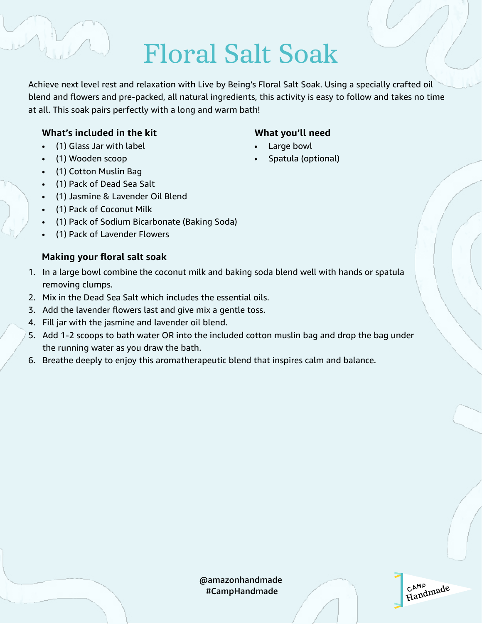### Floral Salt Soak

Achieve next level rest and relaxation with Live by Being's Floral Salt Soak. Using a specially crafted oil blend and flowers and pre-packed, all natural ingredients, this activity is easy to follow and takes no time at all. This soak pairs perfectly with a long and warm bath!

### **What's included in the kit**

- (1) Glass Jar with label
- (1) Wooden scoop
- (1) Cotton Muslin Bag
- (1) Pack of Dead Sea Salt
- (1) Jasmine & Lavender Oil Blend
- (1) Pack of Coconut Milk
- (1) Pack of Sodium Bicarbonate (Baking Soda)
- (1) Pack of Lavender Flowers

### **Making your floral salt soak**

- 1. In a large bowl combine the coconut milk and baking soda blend well with hands or spatula removing clumps.
- 2. Mix in the Dead Sea Salt which includes the essential oils.
- 3. Add the lavender flowers last and give mix a gentle toss.
- 4. Fill jar with the jasmine and lavender oil blend.
- 5. Add 1-2 scoops to bath water OR into the included cotton muslin bag and drop the bag under the running water as you draw the bath.
- 6. Breathe deeply to enjoy this aromatherapeutic blend that inspires calm and balance.

### **What you'll need**

- Large bowl
- Spatula (optional)

@amazonhandmade #CampHandmade

CAMP c<sup>amp</sup><br>Handmade